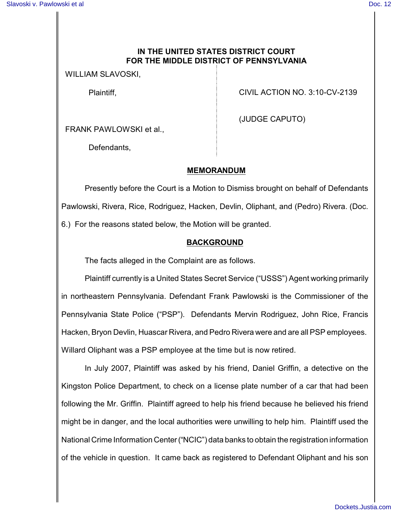## **IN THE UNITED STATES DISTRICT COURT FOR THE MIDDLE DISTRICT OF PENNSYLVANIA**

WILLIAM SLAVOSKI,

Plaintiff,

CIVIL ACTION NO. 3:10-CV-2139

FRANK PAWLOWSKI et al.,

Defendants,

(JUDGE CAPUTO)

### **MEMORANDUM**

Presently before the Court is a Motion to Dismiss brought on behalf of Defendants Pawlowski, Rivera, Rice, Rodriguez, Hacken, Devlin, Oliphant, and (Pedro) Rivera. (Doc. 6.) For the reasons stated below, the Motion will be granted.

### **BACKGROUND**

The facts alleged in the Complaint are as follows.

Plaintiff currently is a United States Secret Service ("USSS") Agent working primarily in northeastern Pennsylvania. Defendant Frank Pawlowski is the Commissioner of the Pennsylvania State Police ("PSP"). Defendants Mervin Rodriguez, John Rice, Francis Hacken, Bryon Devlin, Huascar Rivera, and Pedro Rivera were and are all PSP employees. Willard Oliphant was a PSP employee at the time but is now retired.

In July 2007, Plaintiff was asked by his friend, Daniel Griffin, a detective on the Kingston Police Department, to check on a license plate number of a car that had been following the Mr. Griffin. Plaintiff agreed to help his friend because he believed his friend might be in danger, and the local authorities were unwilling to help him. Plaintiff used the National Crime Information Center("NCIC") data banks to obtain the registration information of the vehicle in question. It came back as registered to Defendant Oliphant and his son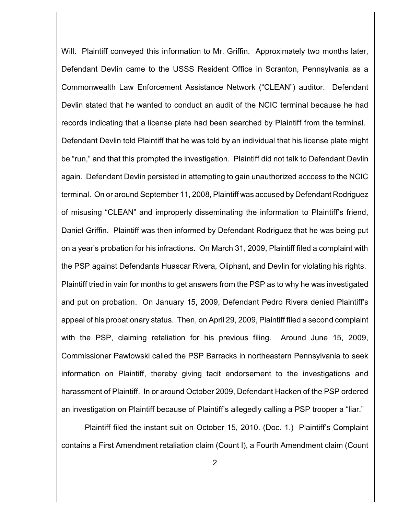Will. Plaintiff conveyed this information to Mr. Griffin. Approximately two months later, Defendant Devlin came to the USSS Resident Office in Scranton, Pennsylvania as a Commonwealth Law Enforcement Assistance Network ("CLEAN") auditor. Defendant Devlin stated that he wanted to conduct an audit of the NCIC terminal because he had records indicating that a license plate had been searched by Plaintiff from the terminal. Defendant Devlin told Plaintiff that he was told by an individual that his license plate might be "run," and that this prompted the investigation. Plaintiff did not talk to Defendant Devlin again. Defendant Devlin persisted in attempting to gain unauthorized acccess to the NCIC terminal. On or around September 11, 2008, Plaintiff was accused by Defendant Rodriguez of misusing "CLEAN" and improperly disseminating the information to Plaintiff's friend, Daniel Griffin. Plaintiff was then informed by Defendant Rodriguez that he was being put on a year's probation for his infractions. On March 31, 2009, Plaintiff filed a complaint with the PSP against Defendants Huascar Rivera, Oliphant, and Devlin for violating his rights. Plaintiff tried in vain for months to get answers from the PSP as to why he was investigated and put on probation. On January 15, 2009, Defendant Pedro Rivera denied Plaintiff's appeal of his probationary status. Then, on April 29, 2009, Plaintiff filed a second complaint with the PSP, claiming retaliation for his previous filing. Around June 15, 2009, Commissioner Pawlowski called the PSP Barracks in northeastern Pennsylvania to seek information on Plaintiff, thereby giving tacit endorsement to the investigations and harassment of Plaintiff. In or around October 2009, Defendant Hacken of the PSP ordered an investigation on Plaintiff because of Plaintiff's allegedly calling a PSP trooper a "liar."

Plaintiff filed the instant suit on October 15, 2010. (Doc. 1.) Plaintiff's Complaint contains a First Amendment retaliation claim (Count I), a Fourth Amendment claim (Count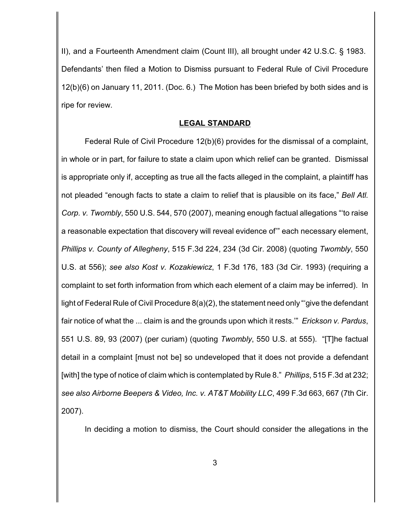II), and a Fourteenth Amendment claim (Count III), all brought under 42 U.S.C. § 1983. Defendants' then filed a Motion to Dismiss pursuant to Federal Rule of Civil Procedure 12(b)(6) on January 11, 2011. (Doc. 6.) The Motion has been briefed by both sides and is ripe for review.

#### **LEGAL STANDARD**

Federal Rule of Civil Procedure 12(b)(6) provides for the dismissal of a complaint, in whole or in part, for failure to state a claim upon which relief can be granted. Dismissal is appropriate only if, accepting as true all the facts alleged in the complaint, a plaintiff has not pleaded "enough facts to state a claim to relief that is plausible on its face," *Bell Atl. Corp. v. Twombly*, 550 U.S. 544, 570 (2007), meaning enough factual allegations "'to raise a reasonable expectation that discovery will reveal evidence of'" each necessary element, *Phillips v. County of Allegheny*, 515 F.3d 224, 234 (3d Cir. 2008) (quoting *Twombly*, 550 U.S. at 556); *see also Kost v. Kozakiewicz*, 1 F.3d 176, 183 (3d Cir. 1993) (requiring a complaint to set forth information from which each element of a claim may be inferred). In light of Federal Rule of Civil Procedure 8(a)(2), the statement need only "'give the defendant fair notice of what the ... claim is and the grounds upon which it rests.'" *Erickson v. Pardus*, 551 U.S. 89, 93 (2007) (per curiam) (quoting *Twombly*, 550 U.S. at 555). "[T]he factual detail in a complaint [must not be] so undeveloped that it does not provide a defendant [with] the type of notice of claim which is contemplated by Rule 8." *Phillips*, 515 F.3d at 232; *see also Airborne Beepers & Video, Inc. v. AT&T Mobility LLC*, 499 F.3d 663, 667 (7th Cir. 2007).

In deciding a motion to dismiss, the Court should consider the allegations in the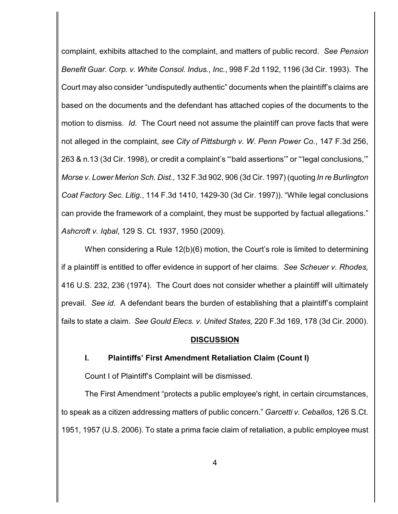complaint, exhibits attached to the complaint, and matters of public record. *See Pension Benefit Guar. Corp. v. White Consol. Indus., Inc.*, 998 F.2d 1192, 1196 (3d Cir. 1993). The Court may also consider "undisputedly authentic" documents when the plaintiff's claims are based on the documents and the defendant has attached copies of the documents to the motion to dismiss. *Id.* The Court need not assume the plaintiff can prove facts that were not alleged in the complaint, *see City of Pittsburgh v. W. Penn Power Co.*, 147 F.3d 256, 263 & n.13 (3d Cir. 1998), or credit a complaint's "'bald assertions'" or "'legal conclusions,'" *Morse v. Lower Merion Sch. Dist.,* 132 F.3d 902, 906 (3d Cir. 1997) (quoting *In re Burlington Coat Factory Sec. Litig.*, 114 F.3d 1410, 1429-30 (3d Cir. 1997)). "While legal conclusions can provide the framework of a complaint, they must be supported by factual allegations." *Ashcroft v. Iqbal*, 129 S. Ct. 1937, 1950 (2009).

When considering a Rule 12(b)(6) motion, the Court's role is limited to determining if a plaintiff is entitled to offer evidence in support of her claims. *See Scheuer v. Rhodes,* 416 U.S. 232, 236 (1974). The Court does not consider whether a plaintiff will ultimately prevail. *See id.* A defendant bears the burden of establishing that a plaintiff's complaint fails to state a claim. *See Gould Elecs. v. United States,* 220 F.3d 169, 178 (3d Cir. 2000).

### **DISCUSSION**

### **I. Plaintiffs' First Amendment Retaliation Claim (Count I)**

Count I of Plaintiff's Complaint will be dismissed.

The First Amendment "protects a public employee's right, in certain circumstances, to speak as a citizen addressing matters of public concern." *Garcetti v. Ceballos*, 126 S.Ct. 1951, 1957 (U.S. 2006). To state a prima facie claim of retaliation, a public employee must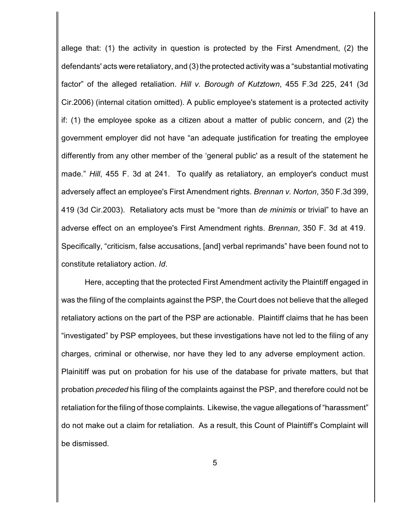allege that: (1) the activity in question is protected by the First Amendment, (2) the defendants' acts were retaliatory, and (3) the protected activitywas a "substantial motivating factor" of the alleged retaliation. *Hill v. Borough of Kutztown*, 455 F.3d 225, 241 (3d Cir.2006) (internal citation omitted). A public employee's statement is a protected activity if: (1) the employee spoke as a citizen about a matter of public concern, and (2) the government employer did not have "an adequate justification for treating the employee differently from any other member of the 'general public' as a result of the statement he made." *Hill*, 455 F. 3d at 241. To qualify as retaliatory, an employer's conduct must adversely affect an employee's First Amendment rights. *Brennan v. Norton*, 350 F.3d 399, 419 (3d Cir.2003). Retaliatory acts must be "more than *de minimis* or trivial" to have an adverse effect on an employee's First Amendment rights. *Brennan*, 350 F. 3d at 419. Specifically, "criticism, false accusations, [and] verbal reprimands" have been found not to constitute retaliatory action. *Id*.

Here, accepting that the protected First Amendment activity the Plaintiff engaged in was the filing of the complaints against the PSP, the Court does not believe that the alleged retaliatory actions on the part of the PSP are actionable. Plaintiff claims that he has been "investigated" by PSP employees, but these investigations have not led to the filing of any charges, criminal or otherwise, nor have they led to any adverse employment action. Plainitiff was put on probation for his use of the database for private matters, but that probation *preceded* his filing of the complaints against the PSP, and therefore could not be retaliation for the filing of those complaints. Likewise, the vague allegations of "harassment" do not make out a claim for retaliation. As a result, this Count of Plaintiff's Complaint will be dismissed.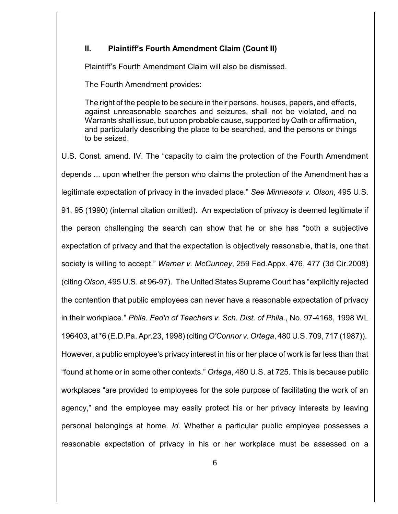### **II. Plaintiff's Fourth Amendment Claim (Count II)**

Plaintiff's Fourth Amendment Claim will also be dismissed.

The Fourth Amendment provides:

The right of the people to be secure in their persons, houses, papers, and effects, against unreasonable searches and seizures, shall not be violated, and no Warrants shall issue, but upon probable cause, supported by Oath or affirmation, and particularly describing the place to be searched, and the persons or things to be seized.

U.S. Const. amend. IV. The "capacity to claim the protection of the Fourth Amendment depends ... upon whether the person who claims the protection of the Amendment has a legitimate expectation of privacy in the invaded place." *See Minnesota v. Olson*, 495 U.S. 91, 95 (1990) (internal citation omitted). An expectation of privacy is deemed legitimate if the person challenging the search can show that he or she has "both a subjective expectation of privacy and that the expectation is objectively reasonable, that is, one that society is willing to accept." *Warner v. McCunney*, 259 Fed.Appx. 476, 477 (3d Cir.2008) (citing *Olson*, 495 U.S. at 96-97). The United States Supreme Court has "explicitly rejected the contention that public employees can never have a reasonable expectation of privacy in their workplace." *Phila. Fed'n of Teachers v. Sch. Dist. of Phila.*, No. 97-4168, 1998 WL 196403, at \*6 (E.D.Pa. Apr.23, 1998) (citing *O'Connor v. Ortega*, 480 U.S. 709, 717 (1987)). However, a public employee's privacy interest in his or her place of work is far less than that "found at home or in some other contexts." *Ortega*, 480 U.S. at 725. This is because public workplaces "are provided to employees for the sole purpose of facilitating the work of an agency," and the employee may easily protect his or her privacy interests by leaving personal belongings at home. *Id.* Whether a particular public employee possesses a reasonable expectation of privacy in his or her workplace must be assessed on a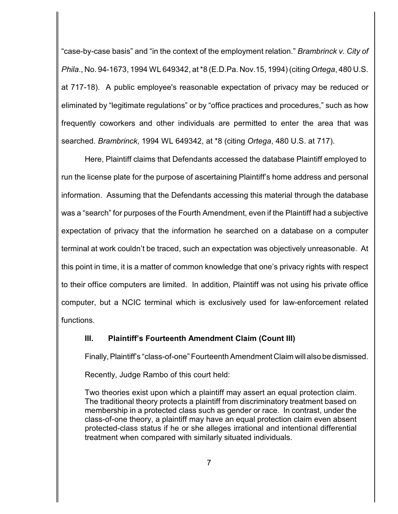"case-by-case basis" and "in the context of the employment relation." *Brambrinck v. City of Phila*., No. 94-1673, 1994 WL 649342, at \*8 (E.D.Pa. Nov.15, 1994) (citing *Ortega*, 480 U.S. at 717-18). A public employee's reasonable expectation of privacy may be reduced or eliminated by "legitimate regulations" or by "office practices and procedures," such as how frequently coworkers and other individuals are permitted to enter the area that was searched. *Brambrinck*, 1994 WL 649342, at \*8 (citing *Ortega*, 480 U.S. at 717).

Here, Plaintiff claims that Defendants accessed the database Plaintiff employed to run the license plate for the purpose of ascertaining Plaintiff's home address and personal information. Assuming that the Defendants accessing this material through the database was a "search" for purposes of the Fourth Amendment, even if the Plaintiff had a subjective expectation of privacy that the information he searched on a database on a computer terminal at work couldn't be traced, such an expectation was objectively unreasonable. At this point in time, it is a matter of common knowledge that one's privacy rights with respect to their office computers are limited. In addition, Plaintiff was not using his private office computer, but a NCIC terminal which is exclusively used for law-enforcement related functions.

### **III. Plaintiff's Fourteenth Amendment Claim (Count III)**

Finally, Plaintiff's "class-of-one" Fourteenth Amendment Claim will also be dismissed.

Recently, Judge Rambo of this court held:

Two theories exist upon which a plaintiff may assert an equal protection claim. The traditional theory protects a plaintiff from discriminatory treatment based on membership in a protected class such as gender or race. In contrast, under the class-of-one theory, a plaintiff may have an equal protection claim even absent protected-class status if he or she alleges irrational and intentional differential treatment when compared with similarly situated individuals.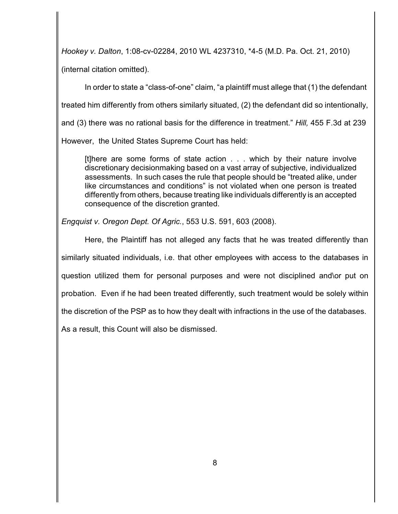*Hookey v. Dalton*, 1:08-cv-02284, 2010 WL 4237310, \*4-5 (M.D. Pa. Oct. 21, 2010)

(internal citation omitted).

In order to state a "class-of-one" claim, "a plaintiff must allege that (1) the defendant

treated him differently from others similarly situated, (2) the defendant did so intentionally,

and (3) there was no rational basis for the difference in treatment." *Hill,* 455 F.3d at 239

However, the United States Supreme Court has held:

[t]here are some forms of state action . . . which by their nature involve discretionary decisionmaking based on a vast array of subjective, individualized assessments. In such cases the rule that people should be "treated alike, under like circumstances and conditions" is not violated when one person is treated differently from others, because treating like individuals differently is an accepted consequence of the discretion granted.

*Engquist v. Oregon Dept. Of Agric.*, 553 U.S. 591, 603 (2008).

Here, the Plaintiff has not alleged any facts that he was treated differently than similarly situated individuals, i.e. that other employees with access to the databases in question utilized them for personal purposes and were not disciplined and\or put on probation. Even if he had been treated differently, such treatment would be solely within the discretion of the PSP as to how they dealt with infractions in the use of the databases. As a result, this Count will also be dismissed.

8